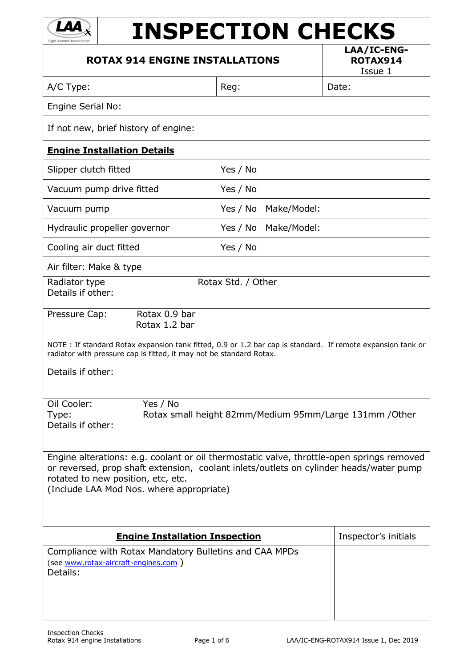

# **INSPECTION CHECKS**

### **ROTAX 914 ENGINE INSTALLATIONS**

**LAA/IC-ENG-ROTAX914**

Issue 1

A/C Type:  $\vert$  Reg:  $\vert$  Date:

Engine Serial No:

If not new, brief history of engine:

#### **Engine Installation Details**

| Slipper clutch fitted                                                                                                                                                                                                                                                 | Yes / No           |             |                                                         |
|-----------------------------------------------------------------------------------------------------------------------------------------------------------------------------------------------------------------------------------------------------------------------|--------------------|-------------|---------------------------------------------------------|
| Vacuum pump drive fitted                                                                                                                                                                                                                                              | Yes / No           |             |                                                         |
| Vacuum pump                                                                                                                                                                                                                                                           | Yes / No           | Make/Model: |                                                         |
| Hydraulic propeller governor                                                                                                                                                                                                                                          | Yes / No           | Make/Model: |                                                         |
| Cooling air duct fitted                                                                                                                                                                                                                                               | Yes / No           |             |                                                         |
| Air filter: Make & type                                                                                                                                                                                                                                               |                    |             |                                                         |
| Radiator type<br>Details if other:                                                                                                                                                                                                                                    | Rotax Std. / Other |             |                                                         |
| Rotax 0.9 bar<br>Pressure Cap:<br>Rotax 1.2 bar                                                                                                                                                                                                                       |                    |             |                                                         |
| NOTE : If standard Rotax expansion tank fitted, 0.9 or 1.2 bar cap is standard. If remote expansion tank or<br>radiator with pressure cap is fitted, it may not be standard Rotax.                                                                                    |                    |             |                                                         |
| Details if other:                                                                                                                                                                                                                                                     |                    |             |                                                         |
| Oil Cooler:<br>Yes / No<br>Type:<br>Details if other:                                                                                                                                                                                                                 |                    |             | Rotax small height 82mm/Medium 95mm/Large 131mm / Other |
| Engine alterations: e.g. coolant or oil thermostatic valve, throttle-open springs removed<br>or reversed, prop shaft extension, coolant inlets/outlets on cylinder heads/water pump<br>rotated to new position, etc, etc.<br>(Include LAA Mod Nos. where appropriate) |                    |             |                                                         |
| <b>Engine Installation Inspection</b>                                                                                                                                                                                                                                 |                    |             | Inspector's initials                                    |
| Compliance with Rotax Mandatory Bulletins and CAA MPDs<br>(see www.rotax-aircraft-engines.com)                                                                                                                                                                        |                    |             |                                                         |

Details: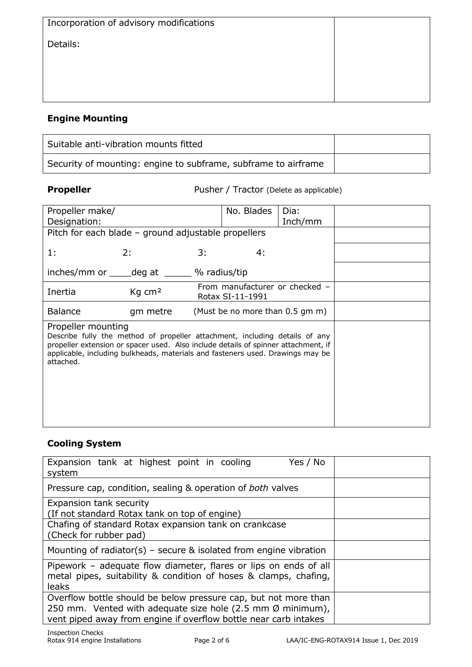| Incorporation of advisory modifications |  |
|-----------------------------------------|--|
| Details:                                |  |
|                                         |  |
|                                         |  |
|                                         |  |

# **Engine Mounting**

| Suitable anti-vibration mounts fitted                          |  |
|----------------------------------------------------------------|--|
| Security of mounting: engine to subframe, subframe to airframe |  |

**Propeller** Pusher / Tractor (Delete as applicable)

| Propeller make/    |                                                                                    |    | No. Blades                      | Dia:    |  |
|--------------------|------------------------------------------------------------------------------------|----|---------------------------------|---------|--|
| Designation:       |                                                                                    |    |                                 | Inch/mm |  |
|                    |                                                                                    |    |                                 |         |  |
|                    | Pitch for each blade - ground adjustable propellers                                |    |                                 |         |  |
|                    |                                                                                    |    |                                 |         |  |
| 1:                 | 2:                                                                                 | 3: | 4:                              |         |  |
|                    |                                                                                    |    |                                 |         |  |
|                    |                                                                                    |    |                                 |         |  |
|                    | inches/mm or _____ deg at _______ % radius/tip                                     |    |                                 |         |  |
|                    |                                                                                    |    | From manufacturer or checked -  |         |  |
| Inertia            | Kg cm <sup>2</sup><br>Rotax SI-11-1991                                             |    |                                 |         |  |
|                    |                                                                                    |    |                                 |         |  |
| <b>Balance</b>     | gm metre                                                                           |    | (Must be no more than 0.5 gm m) |         |  |
|                    |                                                                                    |    |                                 |         |  |
| Propeller mounting |                                                                                    |    |                                 |         |  |
|                    | Describe fully the method of propeller attachment, including details of any        |    |                                 |         |  |
|                    | propeller extension or spacer used. Also include details of spinner attachment, if |    |                                 |         |  |
|                    | applicable, including bulkheads, materials and fasteners used. Drawings may be     |    |                                 |         |  |
|                    |                                                                                    |    |                                 |         |  |
| attached.          |                                                                                    |    |                                 |         |  |
|                    |                                                                                    |    |                                 |         |  |
|                    |                                                                                    |    |                                 |         |  |
|                    |                                                                                    |    |                                 |         |  |
|                    |                                                                                    |    |                                 |         |  |
|                    |                                                                                    |    |                                 |         |  |
|                    |                                                                                    |    |                                 |         |  |
|                    |                                                                                    |    |                                 |         |  |
|                    |                                                                                    |    |                                 |         |  |

### **Cooling System**

| Expansion tank at highest point in cooling<br>Yes / No<br>system                                                                                                                                            |  |
|-------------------------------------------------------------------------------------------------------------------------------------------------------------------------------------------------------------|--|
| Pressure cap, condition, sealing & operation of both valves                                                                                                                                                 |  |
| Expansion tank security<br>(If not standard Rotax tank on top of engine)                                                                                                                                    |  |
| Chafing of standard Rotax expansion tank on crankcase<br>(Check for rubber pad)                                                                                                                             |  |
| Mounting of radiator(s) – secure & isolated from engine vibration                                                                                                                                           |  |
| Pipework – adequate flow diameter, flares or lips on ends of all<br>metal pipes, suitability & condition of hoses & clamps, chafing,<br><b>leaks</b>                                                        |  |
| Overflow bottle should be below pressure cap, but not more than<br>250 mm. Vented with adequate size hole (2.5 mm $\emptyset$ minimum),<br>vent piped away from engine if overflow bottle near carb intakes |  |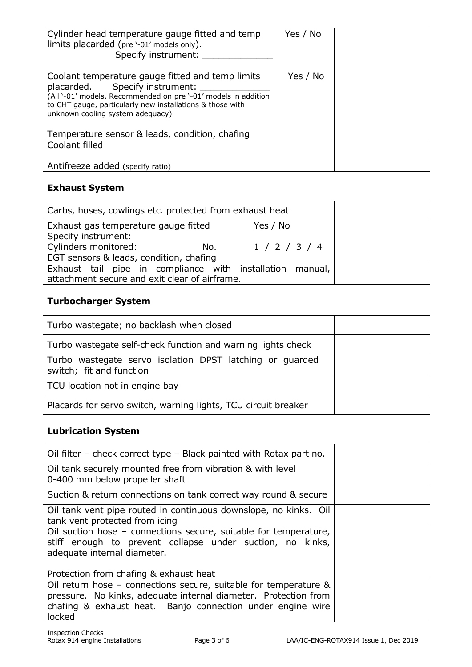| Cylinder head temperature gauge fitted and temp<br>limits placarded (pre '-01' models only).<br>Specify instrument:                                                                                                                                   | Yes / No |  |
|-------------------------------------------------------------------------------------------------------------------------------------------------------------------------------------------------------------------------------------------------------|----------|--|
| Coolant temperature gauge fitted and temp limits<br>placarded. Specify instrument:<br>(All '-01' models. Recommended on pre '-01' models in addition<br>to CHT gauge, particularly new installations & those with<br>unknown cooling system adequacy) | Yes / No |  |
| Temperature sensor & leads, condition, chafing                                                                                                                                                                                                        |          |  |
| Coolant filled                                                                                                                                                                                                                                        |          |  |
| Antifreeze added (specify ratio)                                                                                                                                                                                                                      |          |  |

### **Exhaust System**

| Carbs, hoses, cowlings etc. protected from exhaust heat   |               |  |
|-----------------------------------------------------------|---------------|--|
| Exhaust gas temperature gauge fitted                      | Yes / No      |  |
| Specify instrument:                                       |               |  |
| Cylinders monitored:<br>No.                               | 1 / 2 / 3 / 4 |  |
| EGT sensors & leads, condition, chafing                   |               |  |
| Exhaust tail pipe in compliance with installation manual, |               |  |
| attachment secure and exit clear of airframe.             |               |  |

# **Turbocharger System**

| Turbo wastegate; no backlash when closed                                             |  |
|--------------------------------------------------------------------------------------|--|
| Turbo wastegate self-check function and warning lights check                         |  |
| Turbo wastegate servo isolation DPST latching or guarded<br>switch; fit and function |  |
| TCU location not in engine bay                                                       |  |
| Placards for servo switch, warning lights, TCU circuit breaker                       |  |

# **Lubrication System**

| Oil filter – check correct type – Black painted with Rotax part no.                                                                                                                                         |  |
|-------------------------------------------------------------------------------------------------------------------------------------------------------------------------------------------------------------|--|
| Oil tank securely mounted free from vibration & with level<br>0-400 mm below propeller shaft                                                                                                                |  |
| Suction & return connections on tank correct way round & secure                                                                                                                                             |  |
| Oil tank vent pipe routed in continuous downslope, no kinks. Oil<br>tank vent protected from icing                                                                                                          |  |
| Oil suction hose - connections secure, suitable for temperature,<br>stiff enough to prevent collapse under suction, no kinks,<br>adequate internal diameter.                                                |  |
| Protection from chafing & exhaust heat                                                                                                                                                                      |  |
| Oil return hose – connections secure, suitable for temperature &<br>pressure. No kinks, adequate internal diameter. Protection from<br>chafing & exhaust heat. Banjo connection under engine wire<br>locked |  |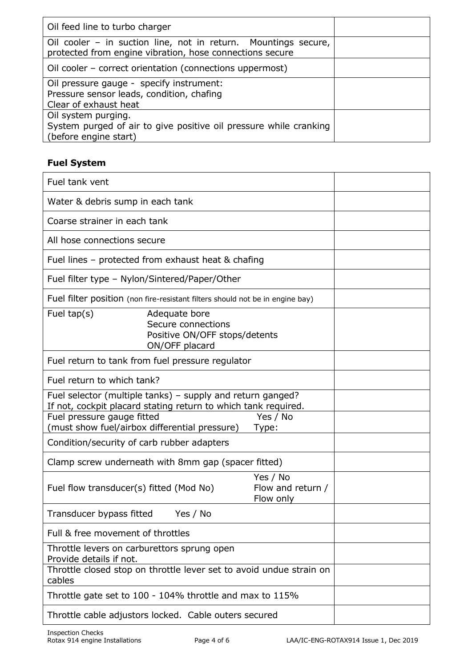| Oil feed line to turbo charger                                                                                             |  |
|----------------------------------------------------------------------------------------------------------------------------|--|
| Oil cooler – in suction line, not in return. Mountings secure,<br>protected from engine vibration, hose connections secure |  |
| Oil cooler – correct orientation (connections uppermost)                                                                   |  |
| Oil pressure gauge - specify instrument:<br>Pressure sensor leads, condition, chafing<br>Clear of exhaust heat             |  |
| Oil system purging.<br>System purged of air to give positive oil pressure while cranking<br>(before engine start)          |  |

# **Fuel System**

| Fuel tank vent                                                                                                               |
|------------------------------------------------------------------------------------------------------------------------------|
| Water & debris sump in each tank                                                                                             |
| Coarse strainer in each tank                                                                                                 |
| All hose connections secure                                                                                                  |
| Fuel lines - protected from exhaust heat & chafing                                                                           |
| Fuel filter type - Nylon/Sintered/Paper/Other                                                                                |
| Fuel filter position (non fire-resistant filters should not be in engine bay)                                                |
| Fuel $tap(s)$<br>Adequate bore<br>Secure connections<br>Positive ON/OFF stops/detents<br>ON/OFF placard                      |
| Fuel return to tank from fuel pressure regulator                                                                             |
| Fuel return to which tank?                                                                                                   |
| Fuel selector (multiple tanks) – supply and return ganged?<br>If not, cockpit placard stating return to which tank required. |
| Fuel pressure gauge fitted<br>Yes / No<br>(must show fuel/airbox differential pressure)<br>Type:                             |
| Condition/security of carb rubber adapters                                                                                   |
| Clamp screw underneath with 8mm gap (spacer fitted)                                                                          |
| Yes / No<br>Fuel flow transducer(s) fitted (Mod No)<br>Flow and return /<br>Flow only                                        |
| Transducer bypass fitted<br>Yes / No                                                                                         |
| Full & free movement of throttles                                                                                            |
| Throttle levers on carburettors sprung open<br>Provide details if not.                                                       |
| Throttle closed stop on throttle lever set to avoid undue strain on<br>cables                                                |
| Throttle gate set to 100 - 104% throttle and max to 115%                                                                     |
| Throttle cable adjustors locked. Cable outers secured                                                                        |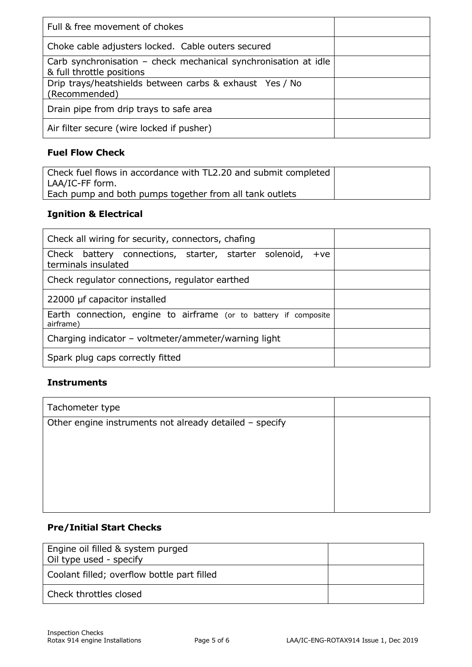| Full & free movement of chokes                                                               |  |
|----------------------------------------------------------------------------------------------|--|
| Choke cable adjusters locked. Cable outers secured                                           |  |
| Carb synchronisation – check mechanical synchronisation at idle<br>& full throttle positions |  |
| Drip trays/heatshields between carbs & exhaust Yes / No<br>(Recommended)                     |  |
| Drain pipe from drip trays to safe area                                                      |  |
| Air filter secure (wire locked if pusher)                                                    |  |

## **Fuel Flow Check**

| Check fuel flows in accordance with TL2.20 and submit completed |  |
|-----------------------------------------------------------------|--|
| LAA/IC-FF form.                                                 |  |
| Each pump and both pumps together from all tank outlets         |  |

## **Ignition & Electrical**

| Check all wiring for security, connectors, chafing                                    |  |
|---------------------------------------------------------------------------------------|--|
| Check battery connections, starter, starter solenoid,<br>$+ve$<br>terminals insulated |  |
| Check regulator connections, regulator earthed                                        |  |
| 22000 µf capacitor installed                                                          |  |
| Earth connection, engine to airframe (or to battery if composite<br>airframe)         |  |
| Charging indicator – voltmeter/ammeter/warning light                                  |  |
| Spark plug caps correctly fitted                                                      |  |

#### **Instruments**

| Tachometer type                                         |  |
|---------------------------------------------------------|--|
| Other engine instruments not already detailed - specify |  |
|                                                         |  |
|                                                         |  |
|                                                         |  |
|                                                         |  |

## **Pre/Initial Start Checks**

| Engine oil filled & system purged<br>Oil type used - specify |  |
|--------------------------------------------------------------|--|
| Coolant filled; overflow bottle part filled                  |  |
| Check throttles closed                                       |  |